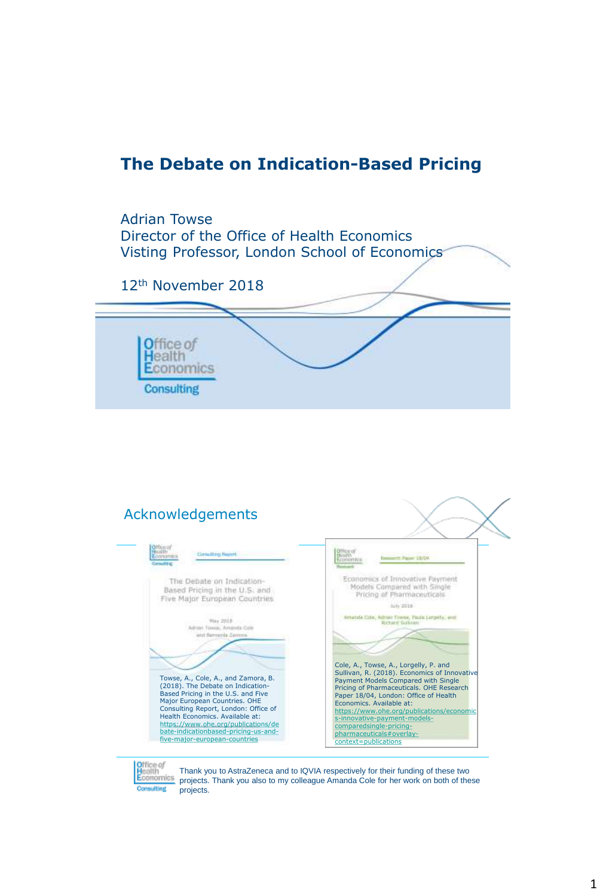# **The Debate on Indication-Based Pricing**





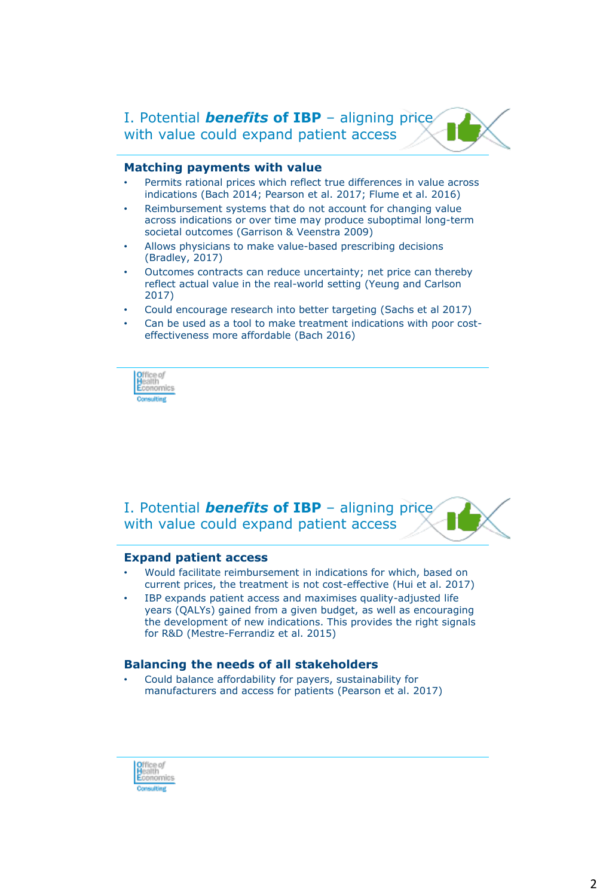I. Potential *benefits* **of IBP** – aligning price with value could expand patient access

## **Matching payments with value**

- Permits rational prices which reflect true differences in value across indications (Bach 2014; Pearson et al. 2017; Flume et al. 2016)
- Reimbursement systems that do not account for changing value across indications or over time may produce suboptimal long-term societal outcomes (Garrison & Veenstra 2009)
- Allows physicians to make value-based prescribing decisions (Bradley, 2017)
- Outcomes contracts can reduce uncertainty; net price can thereby reflect actual value in the real-world setting (Yeung and Carlson 2017)
- Could encourage research into better targeting (Sachs et al 2017)
- Can be used as a tool to make treatment indications with poor costeffectiveness more affordable (Bach 2016)



I. Potential *benefits* **of IBP** – aligning price with value could expand patient access



#### **Expand patient access**

- Would facilitate reimbursement in indications for which, based on current prices, the treatment is not cost-effective (Hui et al. 2017)
- IBP expands patient access and maximises quality-adjusted life years (QALYs) gained from a given budget, as well as encouraging the development of new indications. This provides the right signals for R&D (Mestre-Ferrandiz et al. 2015)

#### **Balancing the needs of all stakeholders**

• Could balance affordability for payers, sustainability for manufacturers and access for patients (Pearson et al. 2017)

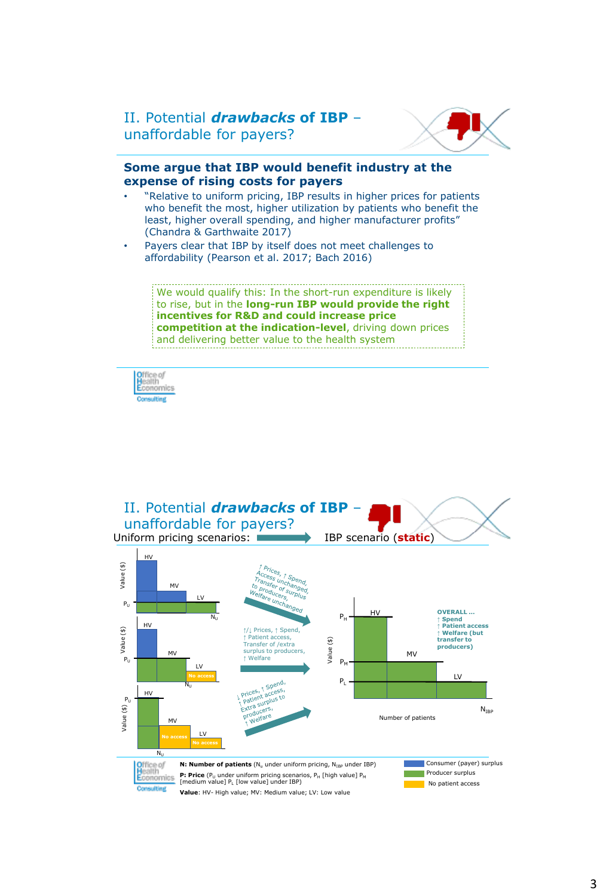## II. Potential *drawbacks* **of IBP** – unaffordable for payers?



#### **Some argue that IBP would benefit industry at the expense of rising costs for payers**

- "Relative to uniform pricing, IBP results in higher prices for patients who benefit the most, higher utilization by patients who benefit the least, higher overall spending, and higher manufacturer profits" (Chandra & Garthwaite 2017)
- Payers clear that IBP by itself does not meet challenges to affordability (Pearson et al. 2017; Bach 2016)

We would qualify this: In the short-run expenditure is likely to rise, but in the **long-run IBP would provide the right incentives for R&D and could increase price competition at the indication-level**, driving down prices and delivering better value to the health system

Office of<br>Health<br>Economics

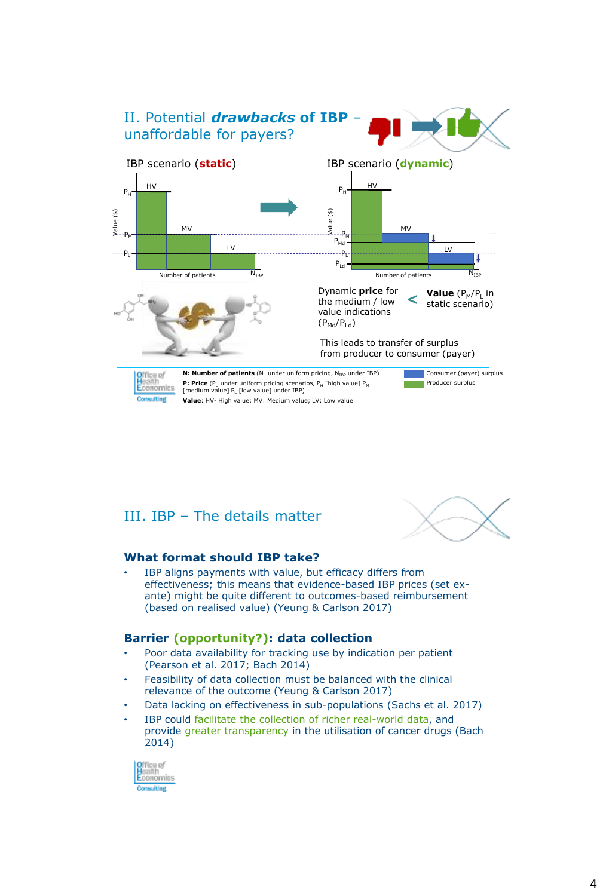

# III. IBP – The details matter



### **What format should IBP take?**

IBP aligns payments with value, but efficacy differs from effectiveness; this means that evidence-based IBP prices (set exante) might be quite different to outcomes-based reimbursement (based on realised value) (Yeung & Carlson 2017)

### **Barrier (opportunity?): data collection**

- Poor data availability for tracking use by indication per patient (Pearson et al. 2017; Bach 2014)
- Feasibility of data collection must be balanced with the clinical relevance of the outcome (Yeung & Carlson 2017)
- Data lacking on effectiveness in sub-populations (Sachs et al. 2017)
- IBP could facilitate the collection of richer real-world data, and provide greater transparency in the utilisation of cancer drugs (Bach 2014)

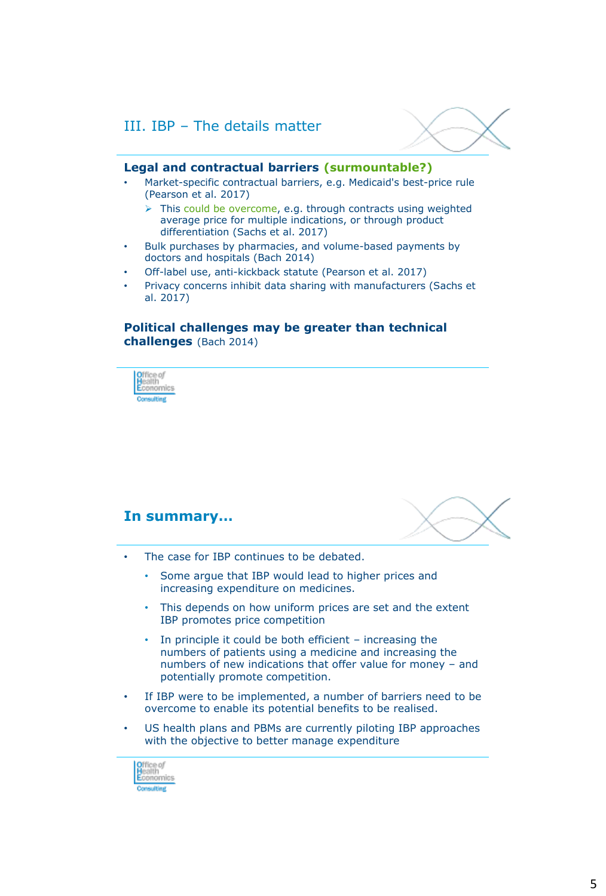

#### **Legal and contractual barriers (surmountable?)**

- Market-specific contractual barriers, e.g. Medicaid's best-price rule (Pearson et al. 2017)
	- $\triangleright$  This could be overcome, e.g. through contracts using weighted average price for multiple indications, or through product differentiation (Sachs et al. 2017)
- Bulk purchases by pharmacies, and volume-based payments by doctors and hospitals (Bach 2014)
- Off-label use, anti-kickback statute (Pearson et al. 2017)
- Privacy concerns inhibit data sharing with manufacturers (Sachs et al. 2017)

## **Political challenges may be greater than technical challenges** (Bach 2014)



## **In summary…**



- The case for IBP continues to be debated.
	- Some argue that IBP would lead to higher prices and increasing expenditure on medicines.
	- This depends on how uniform prices are set and the extent IBP promotes price competition
	- In principle it could be both efficient  $-$  increasing the numbers of patients using a medicine and increasing the numbers of new indications that offer value for money – and potentially promote competition.
- If IBP were to be implemented, a number of barriers need to be overcome to enable its potential benefits to be realised.
- US health plans and PBMs are currently piloting IBP approaches with the objective to better manage expenditure